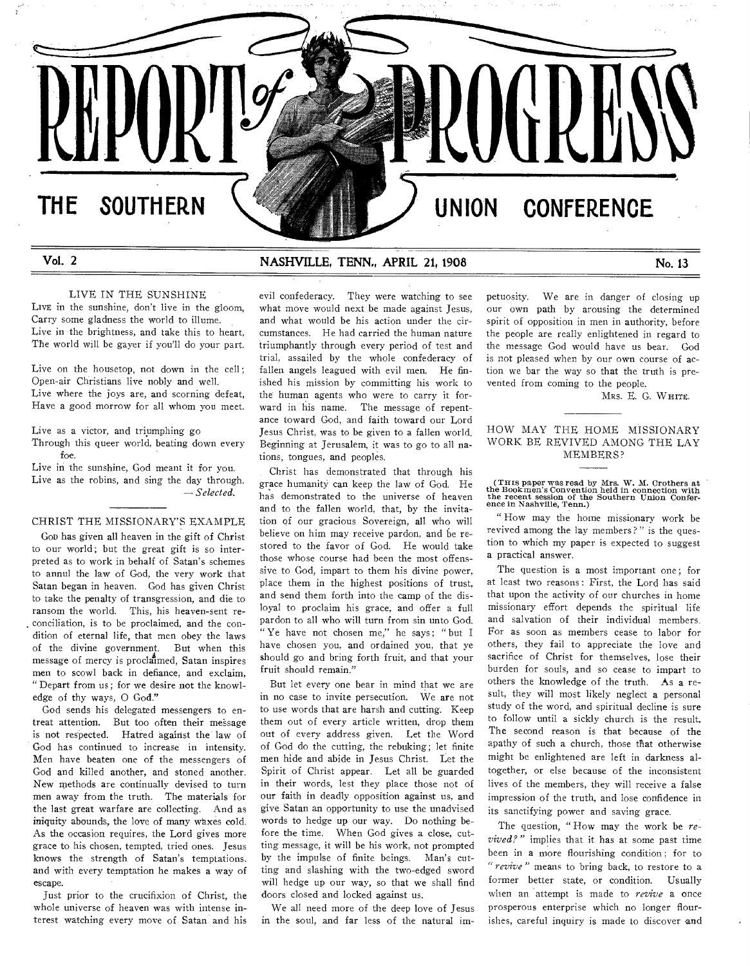# **THE SOUTHERN UNION CONFERENCE**

## Vol. 2 **NASHVILLE, TENN., APRIL 21, 1908** No. 13

**REPURICE CONTROVERS** 

#### LIVE IN THE SUNSHINE

LIVE in the sunshine, don't live in the gloom, Carry some gladness the world to illume. Live in the brightness, and take this to heart, The world will be gayer if you'll do your part.

Live on the housetop, not down in the cell; Open-air Christians live nobly and well. Live where the joys are, and scorning defeat, Have a good morrow for all whom you meet.

Live as a victor, and triumphing go

Through this queer world, beating down every foe.

Live in the sunshine, God meant it for you. Live as the robins, and sing the day through. *— Selected.* 

## CHRIST THE MISSIONARY'S EXAMPLE

GOD has given all heaven in the gift of Christ to our world; but the great gift is so interpreted as to work in behalf of Satan's schemes to annul the law of God, the very work that Satan began in heaven. God has given Christ to take the penalty of transgression, and die to ransom the world. This, his heaven-sent reconciliation, is to be proclaimed, and the condition of eternal life, that men obey the laws of the divine government. But when this message of mercy is proclaimed, Satan inspires men to scowl back in defiance, and exclaim, " Depart from us ; for we desire not the knowledge of thy ways, 0 God."

God sends his delegated messengers to entreat attention. But too often their message is not respected. Hatred against the law of God has continued to increase in intensity. Men have beaten one of the messengers of God and killed another, and stoned another. New methods are continually devised to turn men away from the truth. The materials for the last great warfare are collecting. And as iniquity abounds, the love of many waxes cold. As the occasion requires, the Lord gives more grace to his chosen, tempted, tried ones. Jesus knows the strength of Satan's temptations, and with every temptation he makes a way of escape.

Just prior to the crucifixion of Christ, the whole universe of heaven was with intense interest watching every move of Satan and his evil confederacy. They were watching to see what move would next be made against Jesus, and what would be his action under the circumstances. He had carried the human nature triumphantly through every period of test and trial, assailed by the whole confederacy of fallen angels leagued with evil men. He finished his mission by committing his work to the human agents who were to carry it forward in his name. The message of repentance toward God, and faith toward our Lord Jesus Christ, was to be given to a fallen world. Beginning at Jerusalem, it was to go to all nations, tongues, and peoples.

Christ has demonstrated that through his grace humanity can keep the law of God. He has demonstrated to the universe of heaven and to the fallen world, that, by the invitation of our gracious Sovereign, all who will believe on him may receive pardon, and be restored to the favor of God. He would take those whose course had been the most offenssive to God, impart to them his divine power, place them in the highest positions of trust, and send them forth into the camp of the disloyal to proclaim his grace, and offer a full pardon to all who will turn from sin unto God. "Ye have not chosen me," he says; "but I have chosen you, and ordained you, that ye should go and bring forth fruit, and that your fruit should remain."

But let every one bear in mind that we are in no case to invite persecution. We are not to use words that are harsh and cutting. Keep them out of every article written, drop them out of every address given. Let the Word of God do the cutting, the rebuking; let finite men hide and abide in Jesus Christ. Let the Spirit of Christ appear. Let all be guarded in their words, lest they place those not of our faith in deadly opposition against us, and give Satan an opportunity to use the unadvised words to hedge up our way. Do nothing before the time. When God gives a close, cutting message, it will be his work, not prompted by the impulse of finite beings. Man's cutting and slashing with the two-edged sword will hedge up our way, so that we shall find doors closed and locked against us.

We all need more of the deep love of Jesus in the soul, and far less of the natural im-

petuosity. We are in danger of closing up our own path by arousing the determined spirit of opposition in men in authority, before the people are really enlightened in regard to the message God would have us bear. God is not pleased when by our own course of action we bar the way so that the truth is prevented from coming to the people.

MRS. E. G. WHITE.

#### HOW MAY THE HOME MISSIONARY WORK BE REVIVED AMONG THE LAY MEMBERS?

(Tins paper was read by Mrs. W. M. Crothers at the Bookmen's Convention held in connection with the recent session of the Southern Union Confer-ence in Nashville, Tenn.)

How may the home missionary work be revived among the lay members?" is the question to which my paper is expected to suggest a practical answer.

The question is a most important one; for at least two reasons : First, the Lord has said that upon the activity of our churches in home missionary effort depends the spiritual life and salvation of their individual members. For as soon as members cease to labor for others, they fail to appreciate the love and sacrifice of Christ for themselves, lose their burden for souls, and so cease to impart to others the knowledge of the truth. As a result, they will most likely neglect a personal study of the word, and spiritual decline is sure to follow until a sickly church is the result. The second reason is that because of the apathy of such a church, those that otherwise might be enlightened are left in darkness altogether, or else because of the inconsistent lives of the members, they will receive a false impression of the truth, and lose confidence in its sanctifying power and saving grace.

The question, " How may the work be *revived?"* implies that it has at some past time been in a more flourishing condition ; for to *"revive"* means to bring back, to restore to a former better state, or condition. Usually when an attempt is made to *revive* a once prosperous enterprise which no longer flourishes, careful inquiry is made to discover and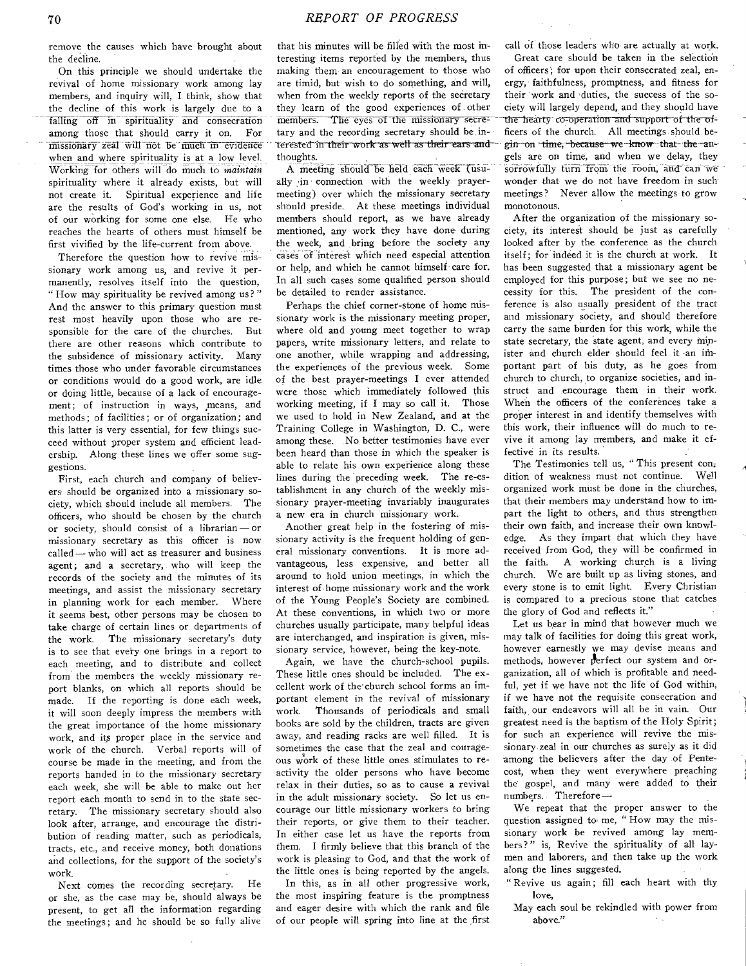remove the causes which have brought about the decline.

On this principle we should undertake the revival of home missionary work among lay members, and inquiry will, I think, show that the decline of this work is largely due to a falling off in spirituality and consecration among those that should carry it on. For missionary zeal will not be much in evidence when and where spirituality is at a low level. Working for others will do much to *maintain*  spirituality where it already exists, but will not create it. Spiritual experience and life are the results of God's working in us, not of our working for some one else. He who reaches the hearts of others must himself be first vivified by the life-current from above.

Therefore the question how to revive missionary work among us, and revive it permanently, resolves itself into the question, " How may spirituality be revived among us?" And the answer to this primary question must rest most heavily upon those who are responsible for the care of the churches. But there are other reasons which contribute to the subsidence of missionary activity. Many times those who under favorable circumstances or conditions would do a good work, are idle or doing little, because of a lack of encouragement; of instruction in ways, means, and methods; of facilities; or of organization; and this latter is very essential, for few things succeed without proper system and efficient leadership. Along these lines we offer some suggestions.

First, each church and company of believers should be organized into a missionary society, which should include all members. The officers, who should be chosen by the church or society, should consist of a librarian — or missionary secretary as this officer is now called — who will act as treasurer and business agent; and a secretary, who will keep the records of the society and the minutes of its meetings, and assist the missionary secretary in planning work for each member. Where it seems best, other persons may be chosen to take charge of certain lines or departments of the work. The missionary secretary's duty is to see that every one brings in a report to each meeting, and to distribute and collect from the members the weekly missionary report blanks, on which all reports should be made. If the reporting is done each week, it will soon deeply impress the members with the great importance of the home missionary work, and its proper place in the service and work of the church. Verbal reports will of course be made in the meeting, and from the reports handed in to the missionary secretary each week, she will be able to make out her report each month to send in to the state secretary. The missionary secretary should also look after, arrange, and encourage the distribution of reading matter, such as periodicals, tracts, etc., and receive money, both donations and collections, for the support of the society's work.

Next comes the recording secretary. He or she, as the case may be, should always be present, to get all the information regarding the meetings; and he should be so fully alive

that his minutes will be filled with the most interesting items reported by the members, thus making them an encouragement to those who are timid, but wish to do something, and will, when from the weekly reports of the secretary they learn of the good experiences of other members. The eyes of the missionary secretary and the recording secretary should be interested in their work as well as their ears and thoughts.

A meeting should be held each week (usually in connection with the weekly prayermeeting) over which the missionary secretary should preside. At these meetings individual members should report, as we have already mentioned, any work they have done- during the week, and bring before the society any cases of interest which need especial attention or help, and which he cannot himself care for. In all such cases some qualified person should be detailed to render assistance.

Perhaps the chief corner-stone of home missionary work is the missionary meeting proper, where old and young meet together to wrap papers, write missionary letters, and relate to one another, while wrapping and addressing, the experiences of the previous week. Some of the best prayer-meetings I ever attended were those which immediately followed this working meeting, if I may so call it. Those we used to hold in New Zealand, and at the Training College in Washington, D. C., were among these. No better testimonies have ever been heard than those in which the speaker is able to relate his own experience along these lines during the preceding week. The re-establishment in any church of the weekly missionary prayer-meeting invariably inaugurates a new era in church missionary work.

Another great help in the fostering of missionary activity is the frequent holding of general missionary conventions. It is more advantageous, less expensive, and better alI around to hold union meetings, in which the interest of home missionary work and the work of the Young People's Society are combined. At these conventions, in which two or more churches usually participate, many helpful ideas are interchanged, and inspiration is given, missionary service, however, being the key-note.

Again, we have the church-school pupils. These little ones should be included. The excellent work of the`church school forms an important element in the revival of missionary work. Thousands of periodicals and small books are sold by the children, tracts are given away, and reading racks are well filled. It is sometimes the case that the zeal and courageous work of these little ones stimulates to reactivity the older persons who have become relax in their duties, so as to cause a revival in the adult missionary society. So let us encourage our little missionary workers to bring their reports, or give them to their teacher. In either case let us have the reports from them. I firmly believe that this branch of the work is pleasing to God, and that the work of the little ones is being reported by the angels.

In this, as in all other progressive work, the most inspiring feature is the promptness and eager desire with which the rank and file of our people will spring into line at the first call of those leaders who are actually at work.

Great care should be taken in the selection of officers; for upon their consecrated zeal, energy, faithfulness, promptness, and fitness for their work and duties, the success of the society will largely depend, and they should have the hearty co-operation and support of the officers of the church, All meetings should begin on time, because we know that the angels are on time, and when we delay, they sorrowfully turn from the room, and can we wonder that we do not have freedom in such. meetings? Never allow the meetings to grow monotonous.

After the organization of the missionary society, its interest should be just as carefully looked after by the conference as the church itself; for indeed it is the church at work. It has been suggested that a missionary agent be employed for this purpose; but we see no necessity for this. The president of the conference is also usually president of the tract and missionary society, and should therefore carry the same burden for this work, while the state secretary, the state agent, and every minister and church elder should feel it -an important part of his duty, as he goes from church to church, to organize societies, and instruct and encourage them in their work. When the officers of the conferences take a proper interest in and identify themselves with this work, their influence will do much to revive it among lay members, and make it effective in its results.

The Testimonies tell us, " This present con; dition of weakness must not continue. Well organized work must be done in the churches, that their members may understand how to impart the light to others, and thus strengthen their own faith, and increase their own knowledge. As they impart that which they have received from God, they will be confirmed in the faith. A working church is a living church. We are built up as living stones, and every stone is to emit light. Every Christian is compared to a precious stone that catches the glory of God and reflects it."

Let us bear in mind that however much we may talk of facilities for doing this great work, however earnestly we may devise means and methods, however perfect our system and organization, all of which is profitable and needful, yet if we have not the life of God within, if we have not the requisite consecration and faith, our endeavors will all be in vain. Our greatest need is the baptism of the Holy Spirit; for such an experience will revive the missionary zeal in our churches as surely as it did among the believers after the day of Pentecost, when they went everywhere preaching the gospel, and many were added to their numbers. Therefore—

We repeat that the proper answer to the question assigned to me, "How may the missionary work be revived among lay members?" is, Revive the spirituality of all laymen and laborers, and then take up the work along the lines suggested.

" Revive us again; fill each heart with thy love,

May each soul be rekindled with power from above."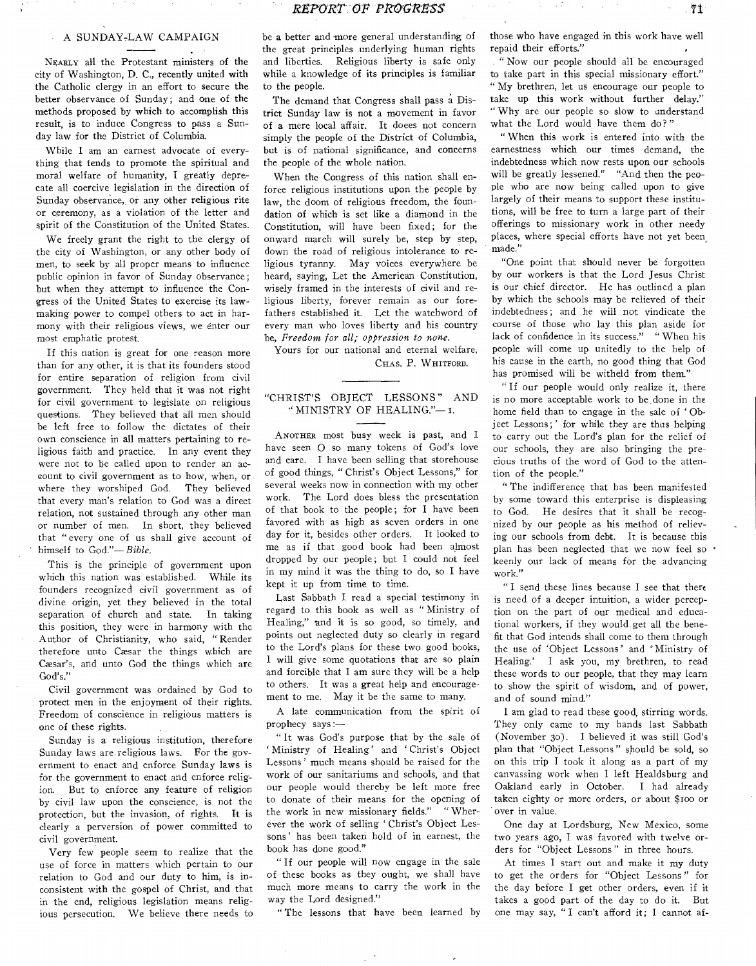#### A SUNDAY-LAW CAMPAIGN

NEARLY all the Protestant ministers of the city of Washington, D. C., recently united with the Catholic clergy in an effort to secure the better observance of Sunday; and one of the methods proposed by which to accomplish this result, is to induce Congress to pass a Sunday law for the District of Columbia.

While I am an earnest advocate of everything that tends to promote the spiritual and moral welfare of humanity, I greatly deprecate all coercive legislation in the direction of Sunday observance, or any other religious rite or ceremony, as a violation of the letter and spirit of the Constitution of the United States.

We freely grant the right to the clergy of the city of Washington, or any other body of men, to seek by all proper means to influence public opinion in favor of Sunday observance; but when they attempt to influence the Congress of the United States to exercise its lawmaking power to compel others to act in harmony with their religious views, we enter our most emphatic protest.

If this nation is great for one reason more than for any other, it is that its founders stood for entire separation of religion from civil government. They held that it was not right for civil government to legislate on religious questions. They believed that all men should be left free to follow the dictates of their own conscience in all matters pertaining to religious faith and practice. In any event they were not to be called upon to render an account to civil government as to how, when, or where they worshiped God. They believed that every man's relation to God was a direct relation, not sustained through any other man or number of men. In short, they believed that " every one of us shall give account of himself to God."— *Bible.* 

This is the principle of government upon which this nation was established. While its founders recognized civil government as of divine origin, yet they believed in the total separation of church and state. In taking this position, they were in harmony with the Author of Christianity, who said, " Render therefore unto Caesar the things which are Cæsar's, and unto God the things which are God's."

Civil government was ordained by God to protect men in the enjoyment of their rights. Freedom of conscience in religious matters is one of these rights.

Sunday is a religious institution, therefore Sunday laws are religious laws. For the government to enact and enforce Sunday laws is for the government to enact and enforce religion. But to enforce any feature of religion by civil law upon the conscience, is not the protection, but the invasion, of rights. It is clearly a perversion of power committed to civil government.

Very few people seem to realize that the use of force in matters which pertain to our relation to God and our duty to him, is inconsistent with the gospel of Christ, and that in the end, religious legislation means religious persecution. We believe there needs to be a better and more general understanding of the great principles underlying human rights and liberties. Religious liberty is safe only while a knowledge of its principles is familiar to the people.

The demand that Congress shall pass a District Sunday law is not a movement in favor of a mere local affair. It doees not concern simply the people of the District of Columbia, but is of national significance, and concerns the people of the whole nation.

When the Congress of this nation shall enforce religious institutions upon the people by law, the doom of religious freedom, the foundation of which is set like a diamond in the Constitution, will have been fixed; for the onward march will surely be, step by step, down the road of religious intolerance to religious tyranny. May voices everywhere be heard, saying, Let the American Constitution, wisely framed in the interests of civil and religious liberty, forever remain as our forefathers established it. Let the watchword of every man who loves liberty and his country be, *Freedom for all; oppression to none.* 

Yours for our national and eternal welfare, CHAS. P. WHITFORD.

## "CHRIST'S OBJECT LESSONS" AND " MINISTRY OF HEALING."— T.

ANOTHER most busy week is past, and I have seen 0 so many tokens of God's love and care. I have been selling that storehouse of good things, " Christ's Object Lessons," for several weeks now in connection with my other work. The Lord does bless the presentation of that book to the people; for I have been favored with as high as seven orders in one day for it, besides other orders. It looked to me as if that good book had been almost dropped by our people; but I could not feel in my mind it was the thing to do, so I have kept it up from time to time.

Last Sabbath I read a special testimony in regard to this book as well as " Ministry of Healing," and it is so good, so timely, and points out neglected duty so clearly in regard to the Lord's plans for these two good books, I will give some quotations that are so plain and forcible that I am sure they will be a help to others. It was a great help and encouragement to me. May it be the same to many.

A late communication from the spirit of prophecy says:—

" It was God's purpose that by the sale of ' Ministry of Healing' and ' Christ's Object Lessons' much means should be raised for the work of our sanitariums and schools, and that our people would thereby be left more free to donate of their means for the opening of the work in new missionary fields." " Wherever the work of selling 'Christ's Object Lessons' has been taken hold of in earnest, the book has done good."

" If our people will now engage in the sale of these books as they ought, we shall have much more means to carry the work in the way the Lord designed."

" The lessons that have been learned by

those who have engaged in this work have well repaid their efforts."

" Now our people should all be encouraged to take part in this special missionary effort." " My brethren, let us encourage our people to take up this work without further delay." " Why are our people so slow to understand what the Lord would have them do?"

" When this work is entered into with the earnestness which our times demand, the indebtedness which now rests upon our schools will be greatly lessened." "And then the people who are now being called upon to give largely of their means to support these institutions, will be free to turn a large part of their offerings to missionary work in other needy places, where special efforts have not yet been, made."

"One point that should never be forgotten by our workers is that the Lord Jesus Christ is our chief director. He has outlined a plan by which the schools may be relieved of their indebtedness ; and he will not vindicate the course of those who lay this plan aside for lack of confidence in its success." " When his people will come up unitedly to the help of his cause in the earth, no good thing that God has promised will be witheld from them."

" If our people would only realize it, there is no more acceptable work to be ,done in the home field than to engage in the sale of ' Object Lessons; ' for while they are thus helping to carry out the Lord's plan for the relief of our schools, they are also bringing the precious truths of the word of God to the attention of the people."

" The indifference that has been manifested by some toward this enterprise is displeasing to God. He desires that it shall be recognized by our people as his method of relieving our schools from debt. It is because this plan has been neglected that we now feel so • keenly our lack of means for the advancing work."

" I send these lines because I see that there is need of a deeper intuition, a wider perception on the part of our medical and educational workers, if they would get all the benefit that God intends shall come to them through the use of 'Object Lessons' and ' Ministry of Healing.' I ask you, my brethren, to read these words to our people, that they may learn to show the spirit of wisdom, and of power, and of sound mind."

I am glad to read these good, stirring words. They only came to my hands last Sabbath (November 3o). I believed it was still God's plan that "Object Lessons" should be sold, so on this trip I took it along as a part of my canvassing work when I left Healdsburg and Oakland early in October. I had already taken eighty or more orders, or about \$too or over in value.

One day at Lordsburg, New Mexico, some two years ago, I was favored with twelve orders for "Object Lessons" in three hours.

At times I start out and make it my duty to get the orders for "Object Lessons" for the day before I get other orders, even if it takes a good part of the day to do it. But one may say, " I can't afford it; I cannot af-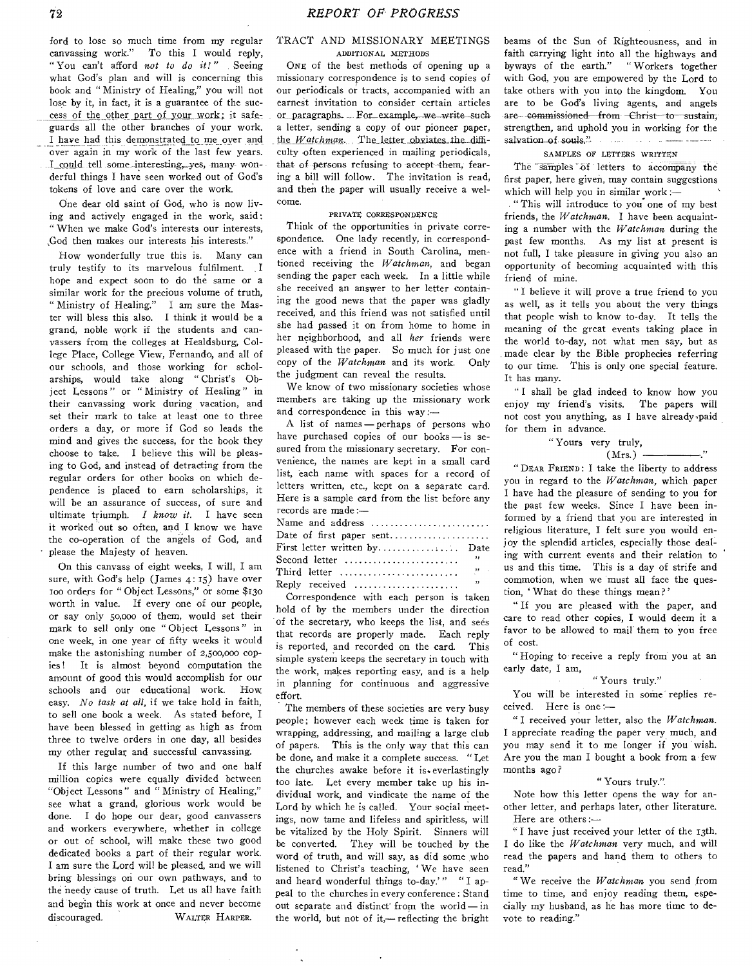ford to lose so much time from my regular canvassing work." To this I would reply, To this I would reply, " You can't afford *not to do it!"* Seeing what God's plan and will is concerning this book and " Ministry of Healing," you will not lose by it, in fact, it is a guarantee of the success of the other part of your work; it safeguards all the other branches of your work. I have had this demonstrated to me over and over again in my work of the last few years. I could tell some interesting,\_yes, many- wonderful things I have seen worked out of God's tokens of love and care over the work.

One dear old saint of God, who is now living and actively engaged in the work, said : " When we make God's interests our interests, ,God then makes our interests his interests."

How wonderfully true this is. Many can truly testify to its marvelous fulfilment. I hope and expect soon to do the same or a similar work for the precious volume of truth, " Ministry of Healing." I am sure the Master will bless this also. I think it would be a grand, noble work if the students and canvassers from the colleges at Healdsburg, College Place, College View, Fernando, and all of our schools, and those working for scholarships, would take along " Christ's Object Lessons " or " Ministry of Healing " in their canvassing work during vacation, and set their mark to take at least one to three orders a day, or more if God so leads the mind and gives the success, for the book they choose to take. I believe this will be pleasing to God, and instead of detracting from the regular orders for other books on which dependence is placed to earn scholarships, it will be an assurance of success, of sure and ultimate triumph. *I know it.* I have seen it worked out so often, and I know we have the co-operation of the angels of God, and please the Majesty of heaven.

On this canvass of eight weeks, I will, I am sure, with God's help (James 4: 15) have over too orders for "Object Lessons," or some \$130 worth in value. If every one of our people, or say only 50,000 of them, would set their mark to sell only one " Object Lessons " in one week, in one year of fifty weeks it would make the astonishing number of 2,500,000 copies! It is almost beyond computation the amount of good this would accomplish for our schools and our educational work. How schools and our educational work. easy. *No task at all,* if we take hold in faith, to sell one book a week. As stated before, I have been blessed in getting as high as from three to twelve orders in one day, all besides my other regular and successful canvassing.

If this large number of two and one half million copies were equally divided between "Object Lessons " and " Ministry of Healing," see what a grand, glorious work would be done. I do hope our dear, good canvassers and workers everywhere, whether in college or out of school, will make these two good dedicated books a part of their regular work. I am sure the Lord will be pleased, and we will bring blessings on our own pathways, and to the needy cause of truth. Let us all have faith and begin this work at once and never become discouraged. WALTER HARPER.

#### TRACT AND MISSIONARY MEETINGS ADDITIONAL METHODS

ONE of the best methods of opening up a missionary correspondence is to send copies of our periodicals or tracts, accompanied with an earnest invitation to consider certain articles or paragraphs. For example, we write such a letter, sending a copy of our pioneer paper, the *Watchman*. The letter obviates the difficulty often experienced in mailing periodicals, that of persons refusing to accept them, fearing a bill will follow. The invitation is read, and then the paper will usually receive a welcome.

#### PRIVATE CORRESPONDENCE

Think of the opportunities in private correspondence. One lady recently, in correspondence with a friend in South Carolina, mentioned receiving the *Watchman,* and began sending the paper each week. In a little while she received an answer to her letter containing the good news that the paper was gladly received, and this friend was not satisfied until she had passed it on from home to home in her neighborhood, and all *her* friends were pleased with the paper. So much for just one copy of the *Watchman* and its work. Only the judgment can reveal the results.

We know of two missionary societies whose members are taking up the missionary work and correspondence in this way :—

A list of names — perhaps of persons who have purchased copies of our books — is sesured from the missionary secretary. For convenience, the names are kept in a small card list, each name with spaces for a record of letters written, etc., kept on a separate card. Here is a sample card from the list before any records are made :—

| Name and address             |                          |
|------------------------------|--------------------------|
|                              |                          |
| First letter written by Date |                          |
| Second letter                | , ,                      |
|                              |                          |
| $\mathbb{R}$ eply received   | $\overline{\phantom{a}}$ |

Correspondence with each person is taken hold of by the members under the direction of the secretary, who keeps the list, and sees that records are properly made. Each reply is reported, and recorded on the card. This simple system keeps the secretary in touch with the work, makes reporting easy, and is a help in planning for continuous and aggressive effort.

The members of these societies are very busy people; however each week time is taken for wrapping, addressing, and mailing a large club of papers. This is the only way that this can be done, and make it a complete success. "Let the churches awake before it is everlastingly too late. Let every member take up his individual work, and vindicate the name of the Lord by which he is called. Your social meetings, now tame and lifeless and spiritless, will be vitalized by the Holy Spirit. Sinners will be converted. They will be touched by the word of truth, and will say, as did some who listened to Christ's teaching, ' We have seen and heard wonderful things to-day.'" " I appeal to the churches in every conference: Stand out separate and distinct from the world — in the world, but not of it,— reflecting the bright

beams of the Sun of Righteousness, and in faith carrying light into all the highways and byways of the earth." " Workers together with God, you are empowered by the Lord to take others with you into the kingdom. You are to be God's living agents, and angels are commissioned from Christ to sustain, strengthen, and uphold you in working for the salvation of souls."

#### SAMPLES OF LETTERS WRITTEN

The samples of letters to accompany the first paper, here given, may contain suggestions which will help you in similar work :—

" This will introduce to you one of my best friends, the *Watchman.* I have been acquainting a number with the *Watchman* during the past few months. As my list at present is not full, I take pleasure in giving you also an opportunity of becoming acquainted with this friend of mine.

" I believe it will prove a true friend to you as well, as it tells you about the very things that people wish to know to-day. It tells the meaning of the great events taking place in the world to-day, not what men say, but as made clear by the Bible prophecies referring to our time. This is only one special feature. It has many.

" I shall be glad indeed to know how you enjoy my friend's visits. The papers will not cost you anything, as I have already paid for them in advance.

#### " Yours very truly,  $(Mrs.) -$

" DEAR FRIEND : I take the liberty to address you in regard to the *Watchman,* which paper I have had the pleasure of sending to you for the past few weeks. Since I have been informed by a friend that you are interested in religious literature, I felt sure you would enjoy the splendid articles, especially those dealing with current events and their relation to us and this time. This is a day of strife and commotion, when we must all face the question, ' What do these things mean ?'

" If you are pleased with the paper, and care to read other copies, I would deem it a favor to be allowed to mail them to you free of cost.

" Hoping to receive a reply from you at an early date, I am,

#### " Yours truly."

You will be interested in some replies received. Here is one :—

" I received your letter, also the *Watchman.*  I appreciate reading the paper very much, and you may send it to me longer if you wish. Are you the man I bought a book from a few months ago?

#### " Yours truly.".

Note how this letter opens the way for another letter, and perhaps later, other literature. Here are others :—

" I have just received your letter of the 13th. I do like the *Watchman* very much, and will read the papers and hand them to others to read."

" We receive the *Watchman* you send from time to time, and enjoy reading them, especially my husband, as he has more time to devote to reading."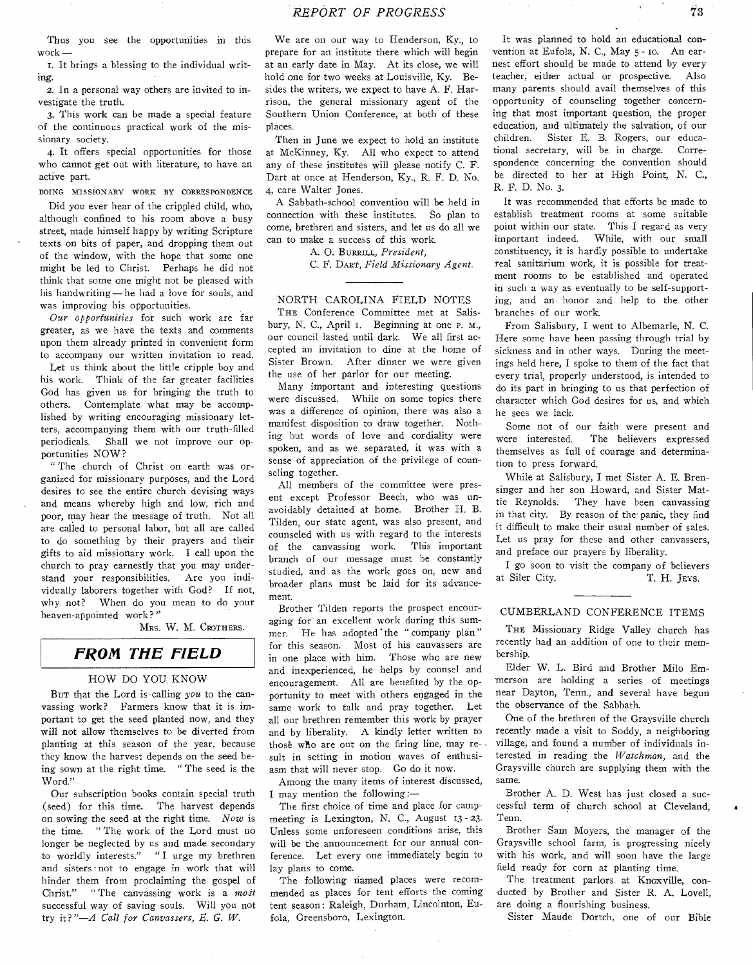Thus you see the opportunities in this work

It brings a blessing to the individual writing.

2. In a personal way others are invited to investigate the truth.

3. This work can be made a special feature of the continuous practical work of the missionary society.

4. It offers special opportunities for those who cannot get out with literature, to have an active part.

DOING MISSIONARY WORK BY CORRESPONDENCE

Did you ever hear of the crippled child, who, although confined to his room above a busy street, made himself happy by writing Scripture texts on bits of paper, and dropping them out of the window, with the hope that some one might be led to Christ. Perhaps he did not think that some one might not be pleased with his handwriting—he had a love for souls, and was improving his opportunities.

*Our opportunities* for such work are far greater, as we have the texts and comments upon them already printed in convenient form to accompany our written invitation to read.

Let us think about the little cripple boy and his work. Think of the far greater facilities God has given us for bringing the truth to others. Contemplate what may be accomplished by writing encouraging missionary letters, accompanying them with our truth-filled periodicals. Shall we not improve our opportunities NOW?

" The church of Christ on earth was organized for missionary purposes, and the Lord desires to see the entire church devising ways and means whereby high and low, rich and poor, may hear the message of truth. Not all are called to personal labor, but all are called to do something by their prayers and their gifts to aid missionary work. I call upon the church to pray earnestly that you may understand your responsibilities. Are you individually laborers together with God? If not, why not? When do you mean to do your heaven-appointed work? "

MRS. W. M. CROTHERS.

## *FROM THE FIELD*

#### HOW DO YOU, KNOW

Bur that the Lord is calling *you* to the canvassing work? Farmers know that it is important to get the seed planted now, and they will not allow themselves to be diverted from planting at this season of the year, because they know the harvest depends on the seed being sown at the right time. " The seed is the Word."

Our subscription books contain special truth (seed) for this time. The harvest depends on sowing the seed at the right time. *Now* is the time. " The work of the Lord must no longer be neglected by us and made secondary to worldly interests." "I urge my brethren and sisters • not to engage in work that will hinder them from proclaiming the gospel of Christ." " The canvassing work is a *most*  successful way of saving souls. Will you not try it ? *"—A Call for Canvassers, E. G. W.* 

We are on our way to Henderson, Ky., to prepare for an institute there which will begin at an early date in May. At its close, we will hold one for two weeks at Louisville, Ky. Besides the writers, we expect to have A. F. Harrison, the general missionary agent of the Southern Union Conference, at both of these places.

Then in June we expect to hold an institute at McKinney, Ky. All who expect to attend any of these institutes will please notify C. F. Dart at once at Henderson, Ky., R. F. D. No. 4, care Walter Jones.

A Sabbath-school convention will be held in connection with these institutes. So plan to come, brethren and sisters, and let us do all we can to make a success of this work.

A. O. BURRILL, President,

C. F. DART, *Field Missionary Agent.* 

#### NORTH CAROLINA FIELD NOTES

THE Conference Committee met at Salisbury, N. C., April 1. Beginning at one P. M., our council lasted until dark. We all first accepted an invitation to dine at the home of Sister Brown. After dinner we were given the use of her parlor for our meeting.

Many important and interesting questions were discussed. While on some topics there was a difference of opinion, there was also a manifest disposition to draw together. Nothing but words of love and cordiality were spoken, and as we separated, it was with a sense of appreciation of the privilege of counseling together.

All members of the committee were present except Professor Beech, who was unavoidably detained at home. Brother H. B. Tilden, our state agent, was also present, and counseled with us with regard to the interests of the canvassing work. This important branch of our message must be constantly studied, and as the work goes on, new and broader plans must be laid for its advancement.

Brother Tilden reports the prospect encouraging for an excellent work during this summer. He has adopted the "company plan" for this season. Most of his canvassers are in one place with him. Those who are new and inexperienced, he helps by counsel and encouragement. All are benefited by the opportunity to meet with others engaged in the same work to talk and pray together. Let all our brethren remember this work by prayer and by liberality. A kindly letter written to thos6 who are out on the firing line, may result in setting in motion waves of enthusiasm that will never stop. Go do it now.

Among the many items of interest discussed, I may mention the following:—

The first choice of time and place for campmeeting is Lexington, N. C., August 13 - 23. Unless some unforeseen conditions arise, this will be the announcement for our annual conference. Let every one immediately begin to lay plans to come.

The following named places were recommended as places for tent efforts the coming tent season: Raleigh, Durham, Lincolnton, Eufola, Greensboro, Lexington.

It was planned to hold an educational convention at Eufola, N. C., May 5 - to. An earnest effort should be made to attend by every teacher, either actual or prospective. Also many parents should avail themselves of this opportunity of counseling together concerning that most important question, the proper education, and ultimately the salvation, of our children. Sister E. B. Rogers, our educational secretary, will be in charge. Correspondence concerning the convention should be directed to her at High Point, N. C., R. F. D. No. 3.

It was recommended that efforts be made to establish treatment rooms at some suitable point within our state. This I regard as very important indeed. While, with our small constituency, it is hardly possible to undertake real sanitarium work, it is possible for treatment rooms to be established and operated in such a way as eventually to be self-supporting, and an honor and help to the other branches of our work.

From Salisbury, I went to Albemarle, N. C. Here some have been passing through trial by sickness and in other ways. During the meetings held here, I spoke to them of the fact that every trial, properly understood, is intended to do its part in bringing to us that perfection of character which God desires for us, and which he sees we lack.

Some not of our faith were present and were interested. The believers expressed themselves as full of courage and determination to press forward.

While at Salisbury, I met Sister A. E. Brensinger and her son Howard, and Sister Mattie Reynolds. They have been canvassing in that city. By reason of the panic, they find it difficult to make their usual number of sales. Let us pray for these and other canvassers, and preface our prayers by liberality.

I go soon to visit the company of believers at Siler City. T. H. JEVS.

#### CUMBERLAND CONFERENCE ITEMS

THE Missionary Ridge Valley church has recently had an addition of one to their membership.

Elder W. L. Bird and Brother Milo Emmerson are holding a series of meetings near Dayton, Tenn., and several have begun the observance of the Sabbath.

One of the brethren of the Graysville church recently made a visit to Soddy, a neighboring village, and found a number of individuals interested in reading the *Watchman,* and the Graysville church are supplying them with the same.

Brother A. D. West has just closed a successful term of church school at Cleveland, Tenn.

Brother Sam Moyers, the manager of the Graysville school farm, is progressing nicely with his work, and will soon have the large field ready for corn at planting time.

The treatment parlors at Knoxville, conducted by Brother and Sister R. A. Lovell, are doing a flourishing business.

Sister Maude Dortch, one of our Bible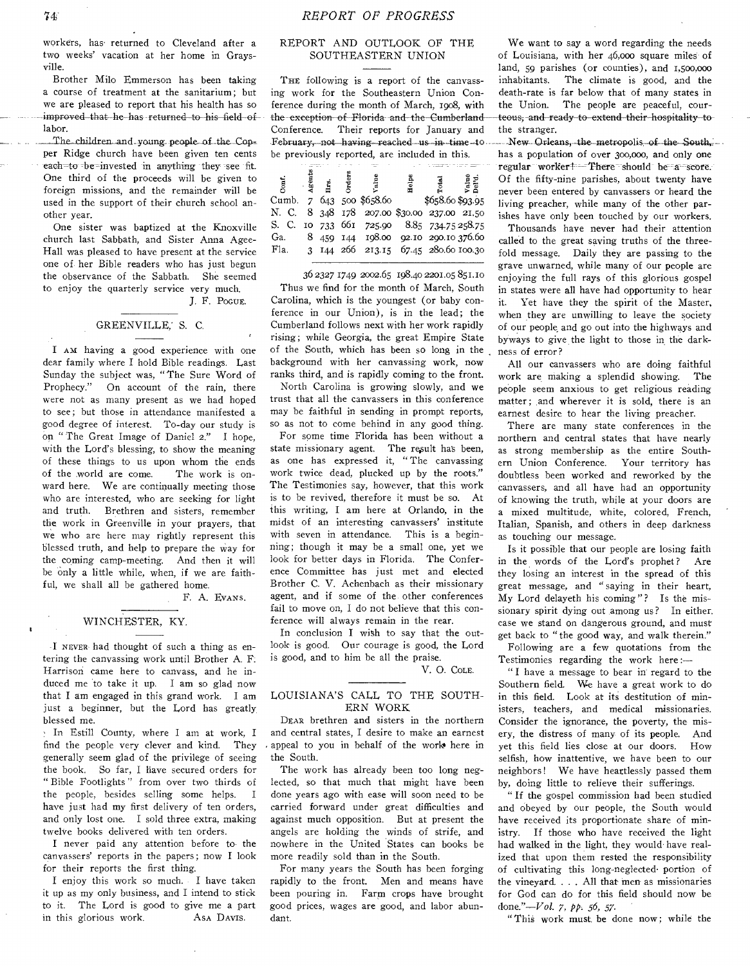workers, has returned to Cleveland after a two weeks' vacation at her home in Graysville.

Brother Milo Emmerson has been taking a course of treatment at the sanitarium; but we are pleased to report that his health has so improved that he has returned to his field of labor.

\_The children. and young people-of the Copper Ridge church have been given ten cents each-to be-invested in anything they see fit. One third of the proceeds will be given to foreign missions, and the remainder will be used in the support of their church school another year.

One sister was baptized at the Knoxville church last Sabbath, and Sister Anna Agee-Hall was pleased to have present at the service one of. her Bible readers who has just begun the observance of the Sabbath. She seemed to enjoy the quarterly service very much. J. F. PocuE.

#### GREENVILLE,' S. C.

I AM having a good experience with one dear family where I hold Bible readings. Last Sunday the subject was, "The Sure Word of Prophecy." On account of the rain, there were not as many present as we had hoped to see; but those in attendance manifested a good degree of interest. To-day our study is on " The Great Image of Daniel 2." I hope, with the Lord's blessing, to show the meaning of these things to us upon whom the ends of the world are come. The work is onward here. We are continually meeting those who are interested, who are seeking for light and truth. Brethren and sisters, remember the work in Greenville in your prayers, that we who are here may rightly represent this blessed truth, and help to prepare the way for the coming camp-meeting. And then it will be Only a little while, when, if we are faithful, we shall all be gathered home.

F. A. EVANS.

#### WINCHESTER, KY.

•I NEVER had thought of such a thing as entering the canvassing work until Brother A. F. Harrison came here to canvass, and he induced me to take it up. I am so glad now that I am engaged in this grand work. I am just a beginner, but the Lord has greatly, blessed me.

• In Estill County, where I am at work, I find the people very clever and kind. They generally seem glad of the privilege of seeing the book. So far, I have secured orders for " Bible Footlights " from over two thirds of the people, besides selling some helps. I have just had my first delivery of ten orders, and only lost one. I sold three extra, making twelve books delivered with ten orders.

I never paid any attention before to the canvassers' reports in the papers; now I look for their reports the first thing.

I enjoy this work so much. I have taken it up as my only business, and I intend to stick to it. The Lord is good to give me a part in this glorious work. As DAVIS.

### REPORT AND OUTLOOK OF THE SOUTHEASTERN UNION

THE following is a report of the canvassing work for the Southeastern Union Conference during the month of March, 1908, with the exception of Florida and the Cumberland-Conference. Their reports for January and February, not having reached us in time-to. be previously reported, are included in this.

| but.    | Agen           | 몱 | calue <sup>7</sup>                    | Helps |                  | Value<br>Del'd. |
|---------|----------------|---|---------------------------------------|-------|------------------|-----------------|
| Cumb.   | $\overline{7}$ |   | 643 500 \$658.60                      |       | \$658.60 \$93.95 |                 |
| N. C.   |                |   | 8 348 178 207.00 \$30.00 237.00 21.50 |       |                  |                 |
| S. C.   |                |   | 10 733 661 725.90 8.85 734.75 258.75  |       |                  |                 |
| Ga.     | 8              |   | 459 144 198.00 92.10 290.10 376.60    |       |                  |                 |
| $F1a$ . |                |   | 3 144 266 213.15 67.45 280.60 100.30  |       |                  |                 |

36 2327 1749 2002.65 198.40 2201.05 851.10 Thus we find for the month of March, South Carolina, which is the youngest (or baby conference in our Union), is in the lead; the Cumberland follows next with her work rapidly rising; while Georgia, the great Empire State of the South, which has been so long in the background with her canvassing work, now ranks third, and is rapidly coming to the front.

North Carolina is growing slowly, and we trust that all the canvassers in this conference may be faithful in sending in prompt reports, so as not to come behind in any good thing.

For some time Florida has been without a state missionary agent. The result has been, as one has expressed it, " The canvassing work twice dead, plucked up by the roots." The Testimonies say, however, that this work is to be revived, therefore it must be so. At this writing, I am here at Orlando, in the midst of an interesting canvassers' institute with seven in attendance. This is a beginning; though it may be a small one, yet we look for better days in Florida. The Conference Committee has just met and elected Brother C. V. Achenbach as their missionary agent, and if some of the other conferences fail to move on, I do not believe that this conference will always remain in the rear.

In conclusion I wish to say that the outlook is good. Our courage is good, the Lord is good, and to him be all the praise.

V. 0. COLE.

#### LOUISIANA'S CALL TO THE SOUTH-ERN WORK

DEAR brethren and sisters in the northern and central states, I desire to make an earnest appeal to you in behalf of the work here in the South.

The work has already been too long neglected, so that much that might have been done years ago with ease will soon need to be carried forward under great difficulties and against much opposition. But at present the angels are holding the winds of strife, and nowhere in the United States can books be more readily sold than in the South.

For many years the South has been forging rapidly to the front. Men and means have been pouring in. Farm crops have brought good prices, wages are good, and labor abundant.

We want to say a word regarding the needs of Louisiana, with her 46,000 square miles of land, 59 parishes (or counties), and 1,500,000 inhabitants. The climate is good, and the death-rate is far below that of many states in the Union. The people are peaceful, courteous; and-ready to extend their-hospitality to the stranger.

New Orleans, the metropolis of the South, has a population of over 300,000, and only one regular worker! -- There should be a score. Of the fifty-nine parishes, about twenty have never been entered by canvassers or heard the living preacher, while many of the other parishes have only been touched by our workers.

Thousands have never had their attention called to the great saving truths of the threefold message. Daily they are passing to the grave unwarned, while many of our people are enjoying the full rays of this glorious gospel in states were all have had opportunity to hear it. Yet have they the spirit of the Master, when they are unwilling to leave the society of our people and go out into the highways and byways to give the light to those in the darkness of error?

All our canvassers who are doing faithful work are making a splendid showing. The people seem anxious to get religious reading matter; and wherever it is sold, there is an earnest desire to hear the living preacher.

There are many state conferences in the northern and central states that have nearly as strong membership as the entire Southern Union Conference. Your territory has doubtless been worked and reworked by the canvassers, and all have had an opportunity of knowing the truth, while at your doors are a mixed multitude, white, colored, French, Italian, Spanish, and others in deep darkness as touching our message.

Is it possible that our people are losing faith in the words of the Lord's prophet? Are they losing an interest in the spread of this great message, and " saying in their heart, My Lord delayeth his coming"? Is the missionary spirit dying out among us? In either. case we stand on dangerous ground, and must get back to "the good way, and walk therein." Following are a few quotations from the Testimonies regarding the work here :—

" I have a message to bear in regard to the

Southern field. We have a great work to do in this field. Look at its destitution of ministers, teachers, and medical missionaries. Consider the ignorance, the poverty, the misery, the distress of many of its people. And yet this field lies close at our doors. How selfish, how inattentive, we have been to our neighbors! We have heartlessly passed them by, doing little to relieve their sufferings.

" If the gospel commission had been studied and obeyed by our people, the South would have received its proportionate share of ministry. If those who have received the light had walked in the light, they would have realized that upon them rested the responsibility of cultivating this long-neglected• portion of the vineyard. . . . All that men as missionaries for God can do for this field should now be done."—Vol. 7, *pp. 56,* 57.

"This work must be done now; while the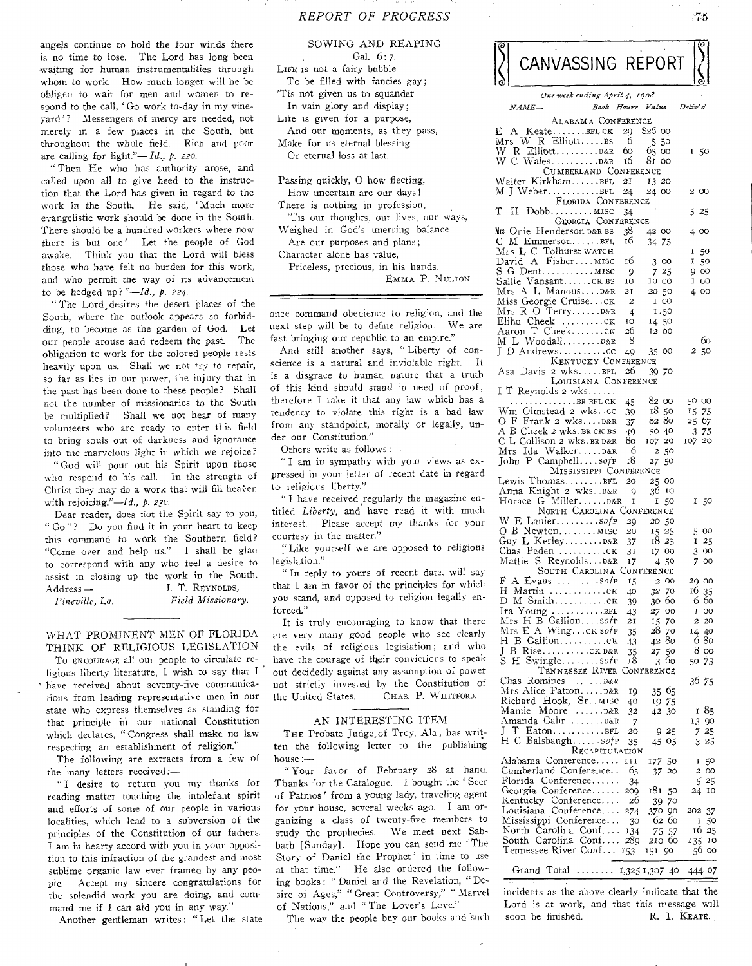angels continue to hold the four winds there is no time to lose. The Lord has long been waiting for human instrumentalities through whom to work. How much longer will he be obliged to wait for men and women to respond to the call, 'Go work to-day in my vineyard'? Messengers of mercy are needed, not merely in a few places in the South, but throughout the whole field. Rich and poor are calling for light."— Id., *p. 220.* 

" Then He who has authority arose, and called upon all to give heed to the instruction that the Lord has given in regard to the work in the South. He said, 'Much more evangelistic work should be done in the South. There should be a hundred workers where now there is but one.' Let the people of God awake. Think you that the Lord will bless those who have felt no burden for this work, and who permit the way of its advancement to be hedged up? *"—Id., P. 224.* 

" The Lord, desires the desert places of the South, where the outlook appears so forbidding, to become as the garden of God. Let our people arouse and redeem the past. The obligation to work for the colored people rests heavily upon us. Shall we not try to repair, so far as lies in our power, the injury that in the past has been done to these people? Shall not the number of missionaries to the South be multiplied? Shall we not hear of many volunteers who are ready to enter this field to bring souls out of darkness and ignorance into the marvelous light in which we rejoice?

" God will pour out his Spirit upon those who respond to his call. In the strength of Christ they may do a work that will fill heaven with rejoicing."—Id., *p. 230.* 

Dear reader, does riot the Spirit say to you, " Go"? Do you find it in your heart to keep this command to work the Southern field? "Come over and help us." I shall be glad to correspond with any who feel a desire to assist in closing up the work in the South. Address — I. T. REYNOLDS,

*Pineville, La. Field Missionary.* 

WHAT PROMINENT MEN OF FLORIDA THINK OF RELIGIOUS LEGISLATION

To ENCOURAGE all our people to circulate religious liberty literature, I wish to say that I have received about seventy-five communications from leading representative men in our state who express themselves as standing for that principle in our national Constitution which declares, "Congress shall make no law respecting an establishment of religion."

The following are extracts from a few of the many letters received:—

" I desire to return you my thanks for reading matter touching the intolerant spirit and efforts of some of our people in various localities, which lead to a subversion of the principles of the Constitution of our fathers. I am in hearty accord with you in your opposition to this infraction of the grandest and most sublime organic law ever framed by any people. Accept my sincere congratulations for the splendid work you are doing, and command me if **I** can aid you in any way."

**Another** gentleman writes : "Let the state

SOWING AND REAPING Gal. 6: 7. LIFE is not a fairy bubble To be filled with fancies gay; 'Tis not given us to squander In vain glory and display; Life is given for a purpose, And our moments, as they pass, Make for us eternal blessing Or eternal loss at last.

Passing quickly, O how fleeting, How uncertain are our days! There is nothing in profession, 'Tis our thoughts, our lives, our **ways,**  Weighed in God's unerring balance Are our purposes and plans; Character alone has value, Priceless, precious, in his hands. EMMA **P.** NULTON.

once command obedience to religion, and the next step will be to define religion. We are fast bringing our republic to an empire."

And still another says, "Liberty of conscience is a natural and inviolable right. It is a disgrace to human nature that a truth of this kind should stand in need of proof ; therefore I take it that any law which has a tendency to violate this right is a bad law from any standpoint, morally or legally, under our Constitution."

Others write as follows :—

" I am in sympathy with your views as expressed in your letter of recent date in regard to religious liberty."

" I have received regularly the magazine entitled *Liberty,* and have read it with much interest. Please accept my thanks for your courtesy in the matter."

"Like yourself we are opposed to religious legislation."

" In reply to yours of recent date, will say that I am in favor of the principles for which you stand, and opposed to religion legally enforced."

It is truly encouraging to know that there are very many good people who see clearly the evils of religious legislation; **and who**  have the courage of tlieir convictions to **speak**  out decidedly against any assumption of **power**  not strictly invested by the Constitution of the United States. CHAS. P. WHITFORD.

#### AN INTERESTING ITEM

THE Probate Judge of Troy, Ala., has written the following letter to the publishing house:—

" Your favor of February 28 at hand. Thanks for the Catalogue. I bought the ' Seer of Patmos ' from a young lady, traveling agent for your house, several weeks ago. I am organizing a class of twenty-five members to study the prophecies. We meet next Sabbath [Sunday]. Hope you can send me 'The Story of Daniel the Prophet' in time to use at that time." He also ordered the following books : " Daniel and the Revelation, " Desire of Ages," " Great Controversy," " Marvel of Nations," and " The Lover's **Love."** 

The way the people buy our **books and** such

|                    |  | CANVASSING REPORT                                        |           |                      |                   |
|--------------------|--|----------------------------------------------------------|-----------|----------------------|-------------------|
|                    |  | One week ending April 4, 1908                            |           |                      |                   |
| $_{NAME-}$         |  |                                                          |           | Book Hours Value     | Deliv' d          |
| E,<br>$\mathbf{A}$ |  | ALABAMA CONFERENCE<br>$Keate$ $BFLCK$                    | 29        | \$26 00              |                   |
|                    |  | $Mrs$ W R Elliott $\dots$ .ss                            | -6        | 550                  |                   |
|                    |  | W R ElliottD&R<br>W C WalesD&R                           | 60<br>16  | 65 oo<br>81 oo       | 150               |
|                    |  | CUMBERLAND CONFERENCE                                    |           |                      |                   |
|                    |  | Walter KirkhamBFL<br>M J Weber. BFL                      | 21<br>24  | 13 20<br>24 00       | 200               |
|                    |  | FLORIDA CONFERENCE                                       |           |                      |                   |
| T.<br>$H_{-}$      |  | $Dobb$ $MISC$<br>GEORGIA CONFERENCE                      | 34        |                      | -25<br>5          |
|                    |  | Mrs Onie Henderson p&r BS                                | 38        | 42 00                | 400               |
|                    |  | C M EmmersonBFL                                          | 16        | 34 75                |                   |
|                    |  | Mrs L C Tolhurst watch<br>David A Fisher MISC            | 16        | 300                  | 1 50<br>I<br>50   |
|                    |  |                                                          | 9         | 725                  | 900               |
|                    |  | Sallie Vansantcĸ вs<br>Mrs A L ManousD&R                 | 10<br>21  | 10 00<br>20 50       | 1 OO<br>4 00      |
|                    |  | Miss Georgie Cruiseck                                    | 2         | 1 00                 |                   |
|                    |  | Mrs R O TerryD&R<br>Elihu Cheek CK                       | 4<br>10   | 1.50                 |                   |
| Aaron              |  | $T$ Cheek $c_K$                                          | 26        | 14 50<br>12 00       |                   |
|                    |  | M L WoodallD&R                                           | 8         |                      | 60                |
|                    |  | KENTUCKY CONFERENCE                                      | 49        | 35<br>oo             | 50<br>2           |
|                    |  | Asa Davis 2 wksBFL                                       | 26        | 39.<br>70            |                   |
|                    |  | LOUISIANA CONFERENCE<br>I T Reynolds 2 wks               |           |                      |                   |
|                    |  | $\ldots \ldots \ldots$ . BR BFL CK                       | 45        | 82 00                | 50 00             |
|                    |  | Wm Olmstead 2 wkscc<br>O F Frank 2 wksD&R                | 39<br>37  | 18<br>50<br>8280     | 15 75<br>25 67    |
|                    |  | A B Cheek 2 wks.BR CK BS                                 | 49        | 50 40                | 375               |
|                    |  | C L Collison 2 wks. BR D&R                               | 80<br>6   | 107 20               | 107 20            |
|                    |  | Mrs Ida WalkerD&R<br>John P Campbell $\mathfrak{so}$ f P | 18        | 50<br>2<br>27<br>50  |                   |
|                    |  | MISSISSIPPI CONFERENCE                                   |           |                      |                   |
|                    |  | Lewis ThomasBFL<br>Anna Knight 2 wks. D&R                | 20<br>9   | 25<br>oo<br>36<br>10 |                   |
|                    |  | Horace G MillerD&R                                       | 1         | 50<br>I              | 150               |
|                    |  | NORTH CAROLINA CONFERENCE<br>W E Laniersofp              | 29        | 20 50                |                   |
|                    |  | $O$ B Newton $MISC$                                      | 20        | 15 25                | 5 00              |
|                    |  | Guy L KerleyD&R<br>$Chas$ $Peden$ $CK$                   | 37<br>31  | 18 25<br>17 00       | 125<br>oo<br>3    |
|                    |  | Mattie S ReynoldsD&R                                     | 17        | 4,50                 | 700               |
| F                  |  | SOUTH CAROLINA CONFERENCE                                |           |                      |                   |
|                    |  | A Evanssofp 15 2 00<br>H Martin ck                       | 40        | 32 70                | 29 00<br>16 35    |
|                    |  |                                                          | 39        | 30 60                | 6 60              |
|                    |  | $\text{Ira Young} \dots \dots \dots \text{BFL}$          | 43<br>21  | 27 00<br>1570        | I 00<br>2 20      |
|                    |  | Mrs H B Gallionsofp<br>Mrs E A Wingck sofp               | 35        | 28 70                | 14 40             |
| J                  |  | H B Gallioncĸ<br>B RiseCK D&R                            | 43<br>35  | 4280<br>27 50        | 680<br>8 oo       |
| S.                 |  | $H$ Swinglesof $P$                                       | 18        | ÓО<br>3              | 50 75             |
|                    |  | TENNESSEE RIVER CONFERENCE                               |           |                      |                   |
|                    |  | Chas Romines  D&R<br>Mrs Alice PattonD&R                 | 19        | 35 65                | 36 75             |
|                    |  | Richard Hook, Sr. MISC                                   | 40        | 1975                 |                   |
|                    |  | Mamie Moore D&R<br>Amanda Gahr D&R                       | 32<br>7   | 42 30                | 185<br>13<br>90   |
|                    |  |                                                          | 20        | 9 25                 | 25<br>7.          |
|                    |  | $H \ C$ Balsbaugh $\mathcal{S}$<br>RECAPITULATION        | 35        | 05<br>45             | 25<br>3           |
|                    |  | Alabama Conference                                       | и         | 177 50               | 50<br>1           |
|                    |  | Cumberland Conference<br>Florida Conference              | 65        | 37 20                | 2 00              |
|                    |  | Georgia Conference                                       | 34<br>200 | 181<br>50            | 525<br>10<br>24   |
|                    |  | Kentucky Conference 26                                   |           | 39 70                |                   |
|                    |  | Louisiana Conference 274<br>Mississippi Conference       | -30       | 370 90<br>62 60      | 202 37<br>1<br>50 |
|                    |  | North Carolina Conf 134                                  |           | 75 57                | 16 25             |
|                    |  | South Carolina Conf 289<br>Tennessee River Conf 153      |           | 210 60<br>151<br>-90 | 135 10<br>56.00   |
|                    |  |                                                          |           |                      |                   |
|                    |  | Grand Total  1,325 1,307 40                              |           |                      | 444 07            |

incidents as the above clearly indicate that the Lord is at work, and that this message will soon be finished. R. I. KEATE.

 $\overline{161}$